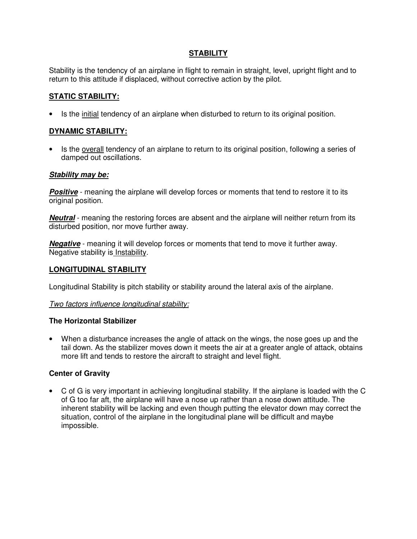# **STABILITY**

Stability is the tendency of an airplane in flight to remain in straight, level, upright flight and to return to this attitude if displaced, without corrective action by the pilot.

# **STATIC STABILITY:**

• Is the initial tendency of an airplane when disturbed to return to its original position.

# **DYNAMIC STABILITY:**

• Is the overall tendency of an airplane to return to its original position, following a series of damped out oscillations.

### **Stability may be:**

**Positive** - meaning the airplane will develop forces or moments that tend to restore it to its original position.

**Neutral** - meaning the restoring forces are absent and the airplane will neither return from its disturbed position, nor move further away.

**Negative** - meaning it will develop forces or moments that tend to move it further away. Negative stability is Instability.

### **LONGITUDINAL STABILITY**

Longitudinal Stability is pitch stability or stability around the lateral axis of the airplane.

### Two factors influence longitudinal stability:

#### **The Horizontal Stabilizer**

• When a disturbance increases the angle of attack on the wings, the nose goes up and the tail down. As the stabilizer moves down it meets the air at a greater angle of attack, obtains more lift and tends to restore the aircraft to straight and level flight.

### **Center of Gravity**

• C of G is very important in achieving longitudinal stability. If the airplane is loaded with the C of G too far aft, the airplane will have a nose up rather than a nose down attitude. The inherent stability will be lacking and even though putting the elevator down may correct the situation, control of the airplane in the longitudinal plane will be difficult and maybe impossible.